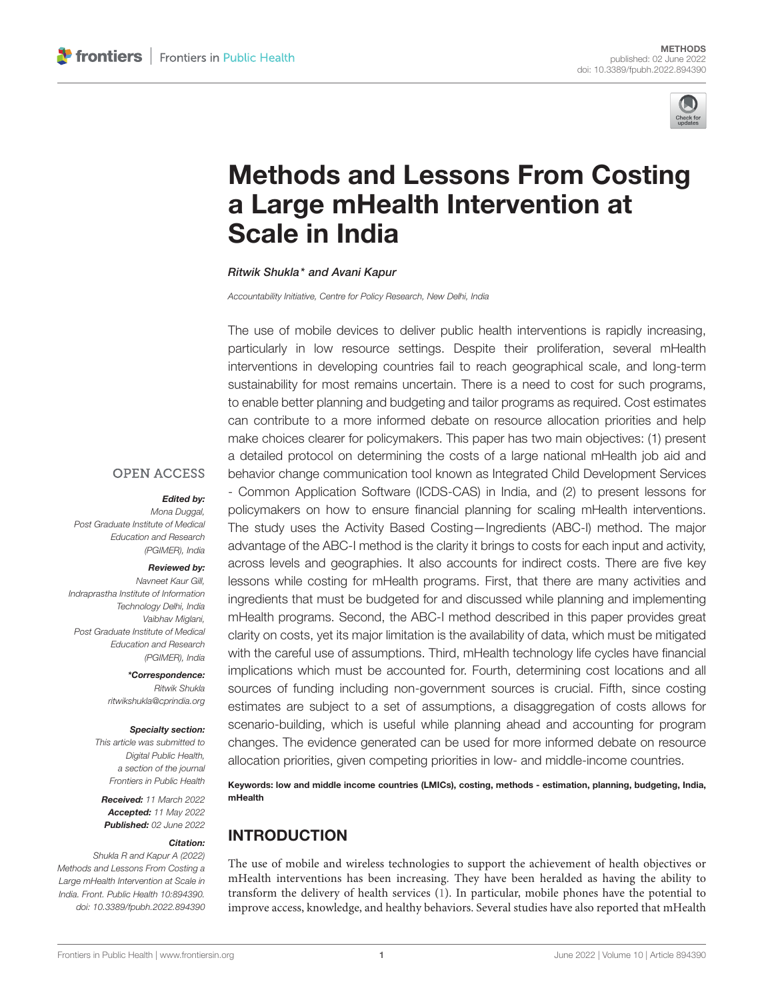

# [Methods and Lessons From Costing](https://www.frontiersin.org/articles/10.3389/fpubh.2022.894390/full) a Large mHealth Intervention at Scale in India

#### Ritwik Shukla\* and Avani Kapur

*Accountability Initiative, Centre for Policy Research, New Delhi, India*

The use of mobile devices to deliver public health interventions is rapidly increasing, particularly in low resource settings. Despite their proliferation, several mHealth interventions in developing countries fail to reach geographical scale, and long-term sustainability for most remains uncertain. There is a need to cost for such programs, to enable better planning and budgeting and tailor programs as required. Cost estimates can contribute to a more informed debate on resource allocation priorities and help make choices clearer for policymakers. This paper has two main objectives: (1) present a detailed protocol on determining the costs of a large national mHealth job aid and behavior change communication tool known as Integrated Child Development Services - Common Application Software (ICDS-CAS) in India, and (2) to present lessons for policymakers on how to ensure financial planning for scaling mHealth interventions. The study uses the Activity Based Costing—Ingredients (ABC-I) method. The major advantage of the ABC-I method is the clarity it brings to costs for each input and activity, across levels and geographies. It also accounts for indirect costs. There are five key lessons while costing for mHealth programs. First, that there are many activities and ingredients that must be budgeted for and discussed while planning and implementing mHealth programs. Second, the ABC-I method described in this paper provides great clarity on costs, yet its major limitation is the availability of data, which must be mitigated with the careful use of assumptions. Third, mHealth technology life cycles have financial implications which must be accounted for. Fourth, determining cost locations and all sources of funding including non-government sources is crucial. Fifth, since costing estimates are subject to a set of assumptions, a disaggregation of costs allows for scenario-building, which is useful while planning ahead and accounting for program changes. The evidence generated can be used for more informed debate on resource allocation priorities, given competing priorities in low- and middle-income countries.

Keywords: low and middle income countries (LMICs), costing, methods - estimation, planning, budgeting, India, mHealth

# INTRODUCTION

The use of mobile and wireless technologies to support the achievement of health objectives or mHealth interventions has been increasing. They have been heralded as having the ability to transform the delivery of health services [\(1\)](#page-8-0). In particular, mobile phones have the potential to improve access, knowledge, and healthy behaviors. Several studies have also reported that mHealth

#### **OPEN ACCESS**

### Edited by:

*Mona Duggal, Post Graduate Institute of Medical Education and Research (PGIMER), India*

#### Reviewed by:

*Navneet Kaur Gill, Indraprastha Institute of Information Technology Delhi, India Vaibhav Miglani, Post Graduate Institute of Medical Education and Research (PGIMER), India*

> \*Correspondence: *Ritwik Shukla [ritwikshukla@cprindia.org](mailto:ritwikshukla@cprindia.org)*

#### Specialty section:

*This article was submitted to Digital Public Health, a section of the journal Frontiers in Public Health*

Received: *11 March 2022* Accepted: *11 May 2022* Published: *02 June 2022*

#### Citation:

*Shukla R and Kapur A (2022) Methods and Lessons From Costing a Large mHealth Intervention at Scale in India. Front. Public Health 10:894390. doi: [10.3389/fpubh.2022.894390](https://doi.org/10.3389/fpubh.2022.894390)*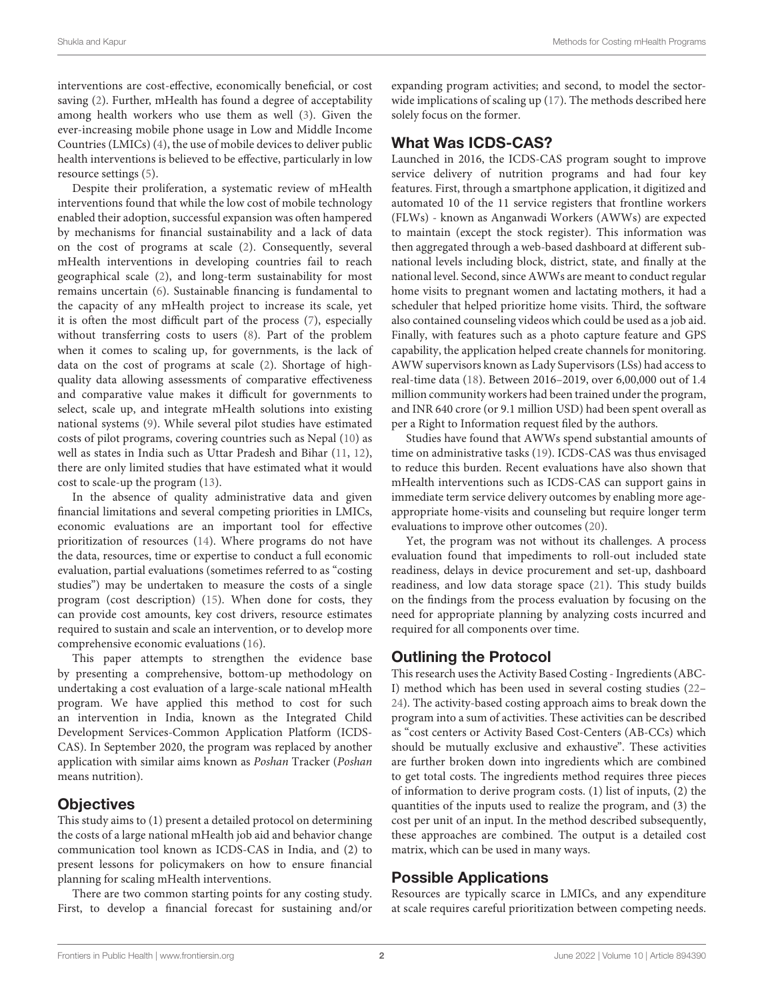interventions are cost-effective, economically beneficial, or cost saving [\(2\)](#page-8-1). Further, mHealth has found a degree of acceptability among health workers who use them as well [\(3\)](#page-8-2). Given the ever-increasing mobile phone usage in Low and Middle Income Countries (LMICs) [\(4\)](#page-8-3), the use of mobile devices to deliver public health interventions is believed to be effective, particularly in low resource settings [\(5\)](#page-8-4).

Despite their proliferation, a systematic review of mHealth interventions found that while the low cost of mobile technology enabled their adoption, successful expansion was often hampered by mechanisms for financial sustainability and a lack of data on the cost of programs at scale [\(2\)](#page-8-1). Consequently, several mHealth interventions in developing countries fail to reach geographical scale [\(2\)](#page-8-1), and long-term sustainability for most remains uncertain [\(6\)](#page-8-5). Sustainable financing is fundamental to the capacity of any mHealth project to increase its scale, yet it is often the most difficult part of the process [\(7\)](#page-8-6), especially without transferring costs to users [\(8\)](#page-8-7). Part of the problem when it comes to scaling up, for governments, is the lack of data on the cost of programs at scale [\(2\)](#page-8-1). Shortage of highquality data allowing assessments of comparative effectiveness and comparative value makes it difficult for governments to select, scale up, and integrate mHealth solutions into existing national systems [\(9\)](#page-8-8). While several pilot studies have estimated costs of pilot programs, covering countries such as Nepal [\(10\)](#page-9-0) as well as states in India such as Uttar Pradesh and Bihar [\(11,](#page-9-1) [12\)](#page-9-2), there are only limited studies that have estimated what it would cost to scale-up the program [\(13\)](#page-9-3).

In the absence of quality administrative data and given financial limitations and several competing priorities in LMICs, economic evaluations are an important tool for effective prioritization of resources [\(14\)](#page-9-4). Where programs do not have the data, resources, time or expertise to conduct a full economic evaluation, partial evaluations (sometimes referred to as "costing studies") may be undertaken to measure the costs of a single program (cost description) [\(15\)](#page-9-5). When done for costs, they can provide cost amounts, key cost drivers, resource estimates required to sustain and scale an intervention, or to develop more comprehensive economic evaluations [\(16\)](#page-9-6).

This paper attempts to strengthen the evidence base by presenting a comprehensive, bottom-up methodology on undertaking a cost evaluation of a large-scale national mHealth program. We have applied this method to cost for such an intervention in India, known as the Integrated Child Development Services-Common Application Platform (ICDS-CAS). In September 2020, the program was replaced by another application with similar aims known as Poshan Tracker (Poshan means nutrition).

# **Objectives**

This study aims to (1) present a detailed protocol on determining the costs of a large national mHealth job aid and behavior change communication tool known as ICDS-CAS in India, and (2) to present lessons for policymakers on how to ensure financial planning for scaling mHealth interventions.

There are two common starting points for any costing study. First, to develop a financial forecast for sustaining and/or expanding program activities; and second, to model the sectorwide implications of scaling up [\(17\)](#page-9-7). The methods described here solely focus on the former.

# What Was ICDS-CAS?

Launched in 2016, the ICDS-CAS program sought to improve service delivery of nutrition programs and had four key features. First, through a smartphone application, it digitized and automated 10 of the 11 service registers that frontline workers (FLWs) - known as Anganwadi Workers (AWWs) are expected to maintain (except the stock register). This information was then aggregated through a web-based dashboard at different subnational levels including block, district, state, and finally at the national level. Second, since AWWs are meant to conduct regular home visits to pregnant women and lactating mothers, it had a scheduler that helped prioritize home visits. Third, the software also contained counseling videos which could be used as a job aid. Finally, with features such as a photo capture feature and GPS capability, the application helped create channels for monitoring. AWW supervisors known as Lady Supervisors (LSs) had access to real-time data [\(18\)](#page-9-8). Between 2016–2019, over 6,00,000 out of 1.4 million community workers had been trained under the program, and INR 640 crore (or 9.1 million USD) had been spent overall as per a Right to Information request filed by the authors.

Studies have found that AWWs spend substantial amounts of time on administrative tasks [\(19\)](#page-9-9). ICDS-CAS was thus envisaged to reduce this burden. Recent evaluations have also shown that mHealth interventions such as ICDS-CAS can support gains in immediate term service delivery outcomes by enabling more ageappropriate home-visits and counseling but require longer term evaluations to improve other outcomes [\(20\)](#page-9-10).

Yet, the program was not without its challenges. A process evaluation found that impediments to roll-out included state readiness, delays in device procurement and set-up, dashboard readiness, and low data storage space [\(21\)](#page-9-11). This study builds on the findings from the process evaluation by focusing on the need for appropriate planning by analyzing costs incurred and required for all components over time.

# Outlining the Protocol

This research uses the Activity Based Costing - Ingredients(ABC-I) method which has been used in several costing studies [\(22–](#page-9-12) [24\)](#page-9-13). The activity-based costing approach aims to break down the program into a sum of activities. These activities can be described as "cost centers or Activity Based Cost-Centers (AB-CCs) which should be mutually exclusive and exhaustive". These activities are further broken down into ingredients which are combined to get total costs. The ingredients method requires three pieces of information to derive program costs. (1) list of inputs, (2) the quantities of the inputs used to realize the program, and (3) the cost per unit of an input. In the method described subsequently, these approaches are combined. The output is a detailed cost matrix, which can be used in many ways.

# Possible Applications

Resources are typically scarce in LMICs, and any expenditure at scale requires careful prioritization between competing needs.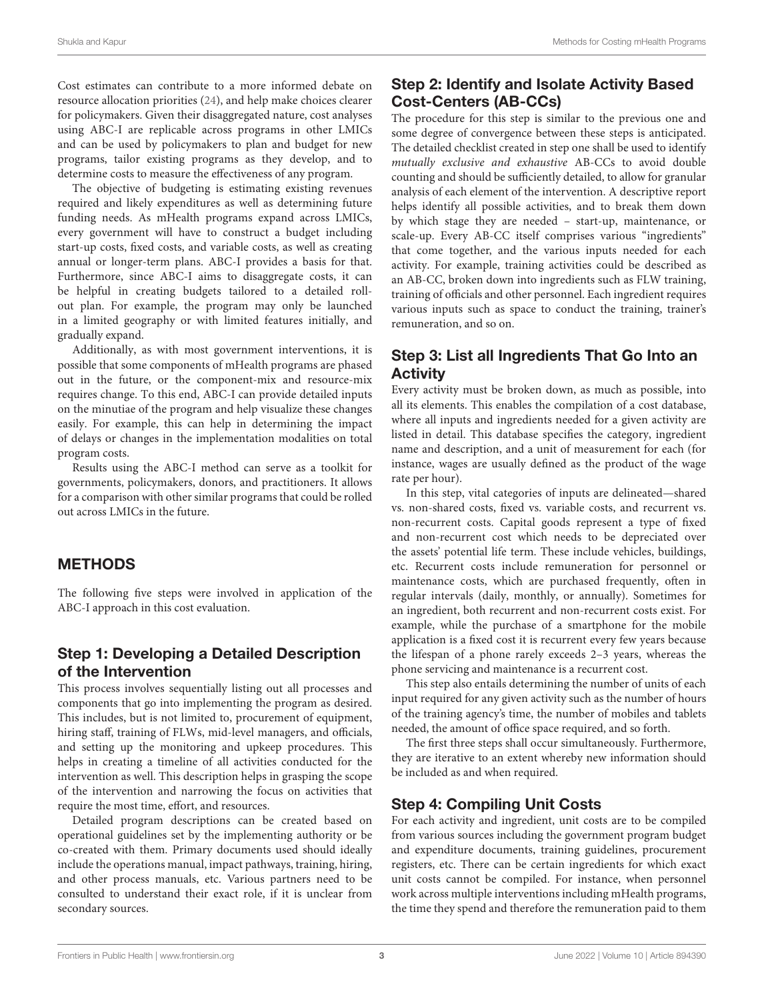Cost estimates can contribute to a more informed debate on resource allocation priorities [\(24\)](#page-9-13), and help make choices clearer for policymakers. Given their disaggregated nature, cost analyses using ABC-I are replicable across programs in other LMICs and can be used by policymakers to plan and budget for new programs, tailor existing programs as they develop, and to determine costs to measure the effectiveness of any program.

The objective of budgeting is estimating existing revenues required and likely expenditures as well as determining future funding needs. As mHealth programs expand across LMICs, every government will have to construct a budget including start-up costs, fixed costs, and variable costs, as well as creating annual or longer-term plans. ABC-I provides a basis for that. Furthermore, since ABC-I aims to disaggregate costs, it can be helpful in creating budgets tailored to a detailed rollout plan. For example, the program may only be launched in a limited geography or with limited features initially, and gradually expand.

Additionally, as with most government interventions, it is possible that some components of mHealth programs are phased out in the future, or the component-mix and resource-mix requires change. To this end, ABC-I can provide detailed inputs on the minutiae of the program and help visualize these changes easily. For example, this can help in determining the impact of delays or changes in the implementation modalities on total program costs.

Results using the ABC-I method can serve as a toolkit for governments, policymakers, donors, and practitioners. It allows for a comparison with other similar programs that could be rolled out across LMICs in the future.

# METHODS

The following five steps were involved in application of the ABC-I approach in this cost evaluation.

# Step 1: Developing a Detailed Description of the Intervention

This process involves sequentially listing out all processes and components that go into implementing the program as desired. This includes, but is not limited to, procurement of equipment, hiring staff, training of FLWs, mid-level managers, and officials, and setting up the monitoring and upkeep procedures. This helps in creating a timeline of all activities conducted for the intervention as well. This description helps in grasping the scope of the intervention and narrowing the focus on activities that require the most time, effort, and resources.

Detailed program descriptions can be created based on operational guidelines set by the implementing authority or be co-created with them. Primary documents used should ideally include the operations manual, impact pathways, training, hiring, and other process manuals, etc. Various partners need to be consulted to understand their exact role, if it is unclear from secondary sources.

# Step 2: Identify and Isolate Activity Based Cost-Centers (AB-CCs)

The procedure for this step is similar to the previous one and some degree of convergence between these steps is anticipated. The detailed checklist created in step one shall be used to identify mutually exclusive and exhaustive AB-CCs to avoid double counting and should be sufficiently detailed, to allow for granular analysis of each element of the intervention. A descriptive report helps identify all possible activities, and to break them down by which stage they are needed – start-up, maintenance, or scale-up. Every AB-CC itself comprises various "ingredients" that come together, and the various inputs needed for each activity. For example, training activities could be described as an AB-CC, broken down into ingredients such as FLW training, training of officials and other personnel. Each ingredient requires various inputs such as space to conduct the training, trainer's remuneration, and so on.

# Step 3: List all Ingredients That Go Into an **Activity**

Every activity must be broken down, as much as possible, into all its elements. This enables the compilation of a cost database, where all inputs and ingredients needed for a given activity are listed in detail. This database specifies the category, ingredient name and description, and a unit of measurement for each (for instance, wages are usually defined as the product of the wage rate per hour).

In this step, vital categories of inputs are delineated—shared vs. non-shared costs, fixed vs. variable costs, and recurrent vs. non-recurrent costs. Capital goods represent a type of fixed and non-recurrent cost which needs to be depreciated over the assets' potential life term. These include vehicles, buildings, etc. Recurrent costs include remuneration for personnel or maintenance costs, which are purchased frequently, often in regular intervals (daily, monthly, or annually). Sometimes for an ingredient, both recurrent and non-recurrent costs exist. For example, while the purchase of a smartphone for the mobile application is a fixed cost it is recurrent every few years because the lifespan of a phone rarely exceeds 2–3 years, whereas the phone servicing and maintenance is a recurrent cost.

This step also entails determining the number of units of each input required for any given activity such as the number of hours of the training agency's time, the number of mobiles and tablets needed, the amount of office space required, and so forth.

The first three steps shall occur simultaneously. Furthermore, they are iterative to an extent whereby new information should be included as and when required.

# Step 4: Compiling Unit Costs

For each activity and ingredient, unit costs are to be compiled from various sources including the government program budget and expenditure documents, training guidelines, procurement registers, etc. There can be certain ingredients for which exact unit costs cannot be compiled. For instance, when personnel work across multiple interventions including mHealth programs, the time they spend and therefore the remuneration paid to them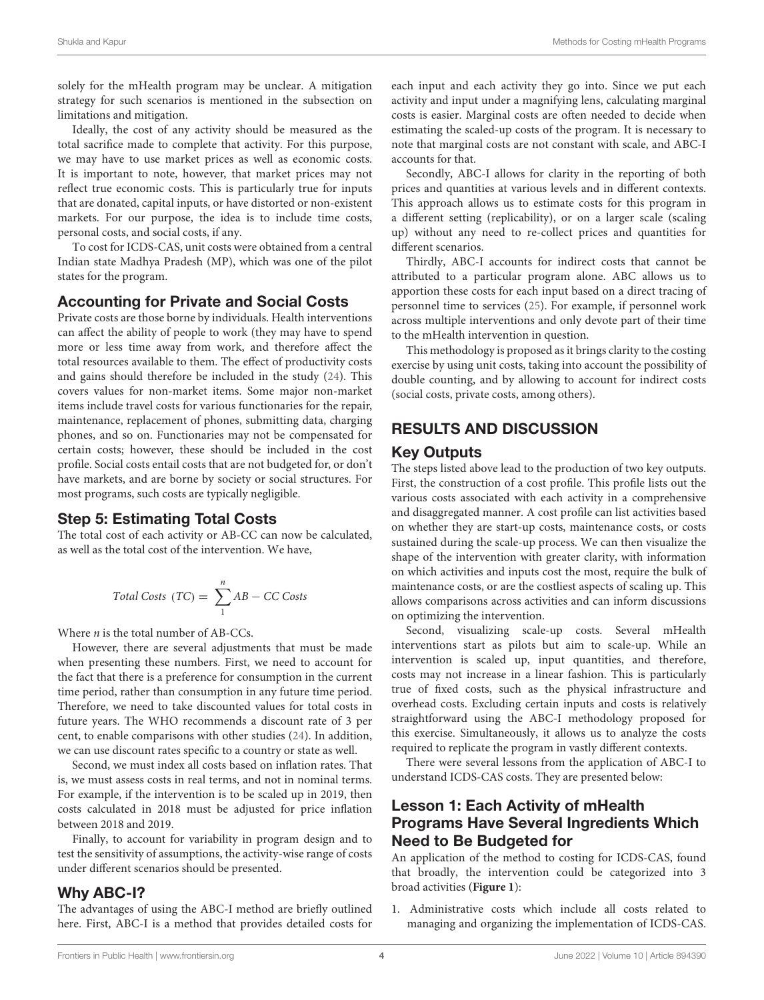solely for the mHealth program may be unclear. A mitigation strategy for such scenarios is mentioned in the subsection on limitations and mitigation.

Ideally, the cost of any activity should be measured as the total sacrifice made to complete that activity. For this purpose, we may have to use market prices as well as economic costs. It is important to note, however, that market prices may not reflect true economic costs. This is particularly true for inputs that are donated, capital inputs, or have distorted or non-existent markets. For our purpose, the idea is to include time costs, personal costs, and social costs, if any.

To cost for ICDS-CAS, unit costs were obtained from a central Indian state Madhya Pradesh (MP), which was one of the pilot states for the program.

## Accounting for Private and Social Costs

Private costs are those borne by individuals. Health interventions can affect the ability of people to work (they may have to spend more or less time away from work, and therefore affect the total resources available to them. The effect of productivity costs and gains should therefore be included in the study [\(24\)](#page-9-13). This covers values for non-market items. Some major non-market items include travel costs for various functionaries for the repair, maintenance, replacement of phones, submitting data, charging phones, and so on. Functionaries may not be compensated for certain costs; however, these should be included in the cost profile. Social costs entail costs that are not budgeted for, or don't have markets, and are borne by society or social structures. For most programs, such costs are typically negligible.

## Step 5: Estimating Total Costs

The total cost of each activity or AB-CC can now be calculated, as well as the total cost of the intervention. We have,

$$
Total \text{ Costs } (TC) = \sum_{1}^{n} AB - CC \text{ Costs}
$$

Where  $n$  is the total number of AB-CCs.

However, there are several adjustments that must be made when presenting these numbers. First, we need to account for the fact that there is a preference for consumption in the current time period, rather than consumption in any future time period. Therefore, we need to take discounted values for total costs in future years. The WHO recommends a discount rate of 3 per cent, to enable comparisons with other studies [\(24\)](#page-9-13). In addition, we can use discount rates specific to a country or state as well.

Second, we must index all costs based on inflation rates. That is, we must assess costs in real terms, and not in nominal terms. For example, if the intervention is to be scaled up in 2019, then costs calculated in 2018 must be adjusted for price inflation between 2018 and 2019.

Finally, to account for variability in program design and to test the sensitivity of assumptions, the activity-wise range of costs under different scenarios should be presented.

## Why ABC-I?

The advantages of using the ABC-I method are briefly outlined here. First, ABC-I is a method that provides detailed costs for each input and each activity they go into. Since we put each activity and input under a magnifying lens, calculating marginal costs is easier. Marginal costs are often needed to decide when estimating the scaled-up costs of the program. It is necessary to note that marginal costs are not constant with scale, and ABC-I accounts for that.

Secondly, ABC-I allows for clarity in the reporting of both prices and quantities at various levels and in different contexts. This approach allows us to estimate costs for this program in a different setting (replicability), or on a larger scale (scaling up) without any need to re-collect prices and quantities for different scenarios.

Thirdly, ABC-I accounts for indirect costs that cannot be attributed to a particular program alone. ABC allows us to apportion these costs for each input based on a direct tracing of personnel time to services [\(25\)](#page-9-14). For example, if personnel work across multiple interventions and only devote part of their time to the mHealth intervention in question.

This methodology is proposed as it brings clarity to the costing exercise by using unit costs, taking into account the possibility of double counting, and by allowing to account for indirect costs (social costs, private costs, among others).

# RESULTS AND DISCUSSION

### Key Outputs

The steps listed above lead to the production of two key outputs. First, the construction of a cost profile. This profile lists out the various costs associated with each activity in a comprehensive and disaggregated manner. A cost profile can list activities based on whether they are start-up costs, maintenance costs, or costs sustained during the scale-up process. We can then visualize the shape of the intervention with greater clarity, with information on which activities and inputs cost the most, require the bulk of maintenance costs, or are the costliest aspects of scaling up. This allows comparisons across activities and can inform discussions on optimizing the intervention.

Second, visualizing scale-up costs. Several mHealth interventions start as pilots but aim to scale-up. While an intervention is scaled up, input quantities, and therefore, costs may not increase in a linear fashion. This is particularly true of fixed costs, such as the physical infrastructure and overhead costs. Excluding certain inputs and costs is relatively straightforward using the ABC-I methodology proposed for this exercise. Simultaneously, it allows us to analyze the costs required to replicate the program in vastly different contexts.

There were several lessons from the application of ABC-I to understand ICDS-CAS costs. They are presented below:

# Lesson 1: Each Activity of mHealth Programs Have Several Ingredients Which Need to Be Budgeted for

An application of the method to costing for ICDS-CAS, found that broadly, the intervention could be categorized into 3 broad activities (**[Figure 1](#page-4-0)**):

1. Administrative costs which include all costs related to managing and organizing the implementation of ICDS-CAS.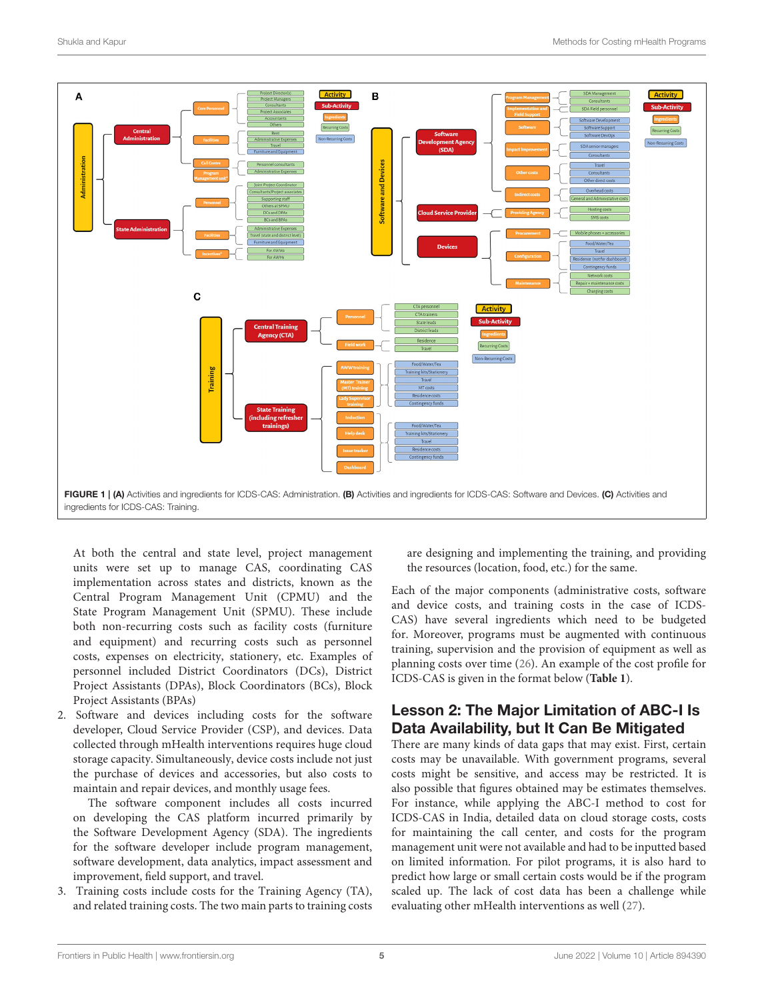

<span id="page-4-0"></span>At both the central and state level, project management units were set up to manage CAS, coordinating CAS implementation across states and districts, known as the Central Program Management Unit (CPMU) and the State Program Management Unit (SPMU). These include both non-recurring costs such as facility costs (furniture and equipment) and recurring costs such as personnel costs, expenses on electricity, stationery, etc. Examples of personnel included District Coordinators (DCs), District Project Assistants (DPAs), Block Coordinators (BCs), Block Project Assistants (BPAs)

2. Software and devices including costs for the software developer, Cloud Service Provider (CSP), and devices. Data collected through mHealth interventions requires huge cloud storage capacity. Simultaneously, device costs include not just the purchase of devices and accessories, but also costs to maintain and repair devices, and monthly usage fees.

The software component includes all costs incurred on developing the CAS platform incurred primarily by the Software Development Agency (SDA). The ingredients for the software developer include program management, software development, data analytics, impact assessment and improvement, field support, and travel.

3. Training costs include costs for the Training Agency (TA), and related training costs. The two main parts to training costs are designing and implementing the training, and providing the resources (location, food, etc.) for the same.

Each of the major components (administrative costs, software and device costs, and training costs in the case of ICDS-CAS) have several ingredients which need to be budgeted for. Moreover, programs must be augmented with continuous training, supervision and the provision of equipment as well as planning costs over time [\(26\)](#page-9-15). An example of the cost profile for ICDS-CAS is given in the format below (**[Table 1](#page-5-0)**).

# Lesson 2: The Major Limitation of ABC-I Is Data Availability, but It Can Be Mitigated

There are many kinds of data gaps that may exist. First, certain costs may be unavailable. With government programs, several costs might be sensitive, and access may be restricted. It is also possible that figures obtained may be estimates themselves. For instance, while applying the ABC-I method to cost for ICDS-CAS in India, detailed data on cloud storage costs, costs for maintaining the call center, and costs for the program management unit were not available and had to be inputted based on limited information. For pilot programs, it is also hard to predict how large or small certain costs would be if the program scaled up. The lack of cost data has been a challenge while evaluating other mHealth interventions as well [\(27\)](#page-9-16).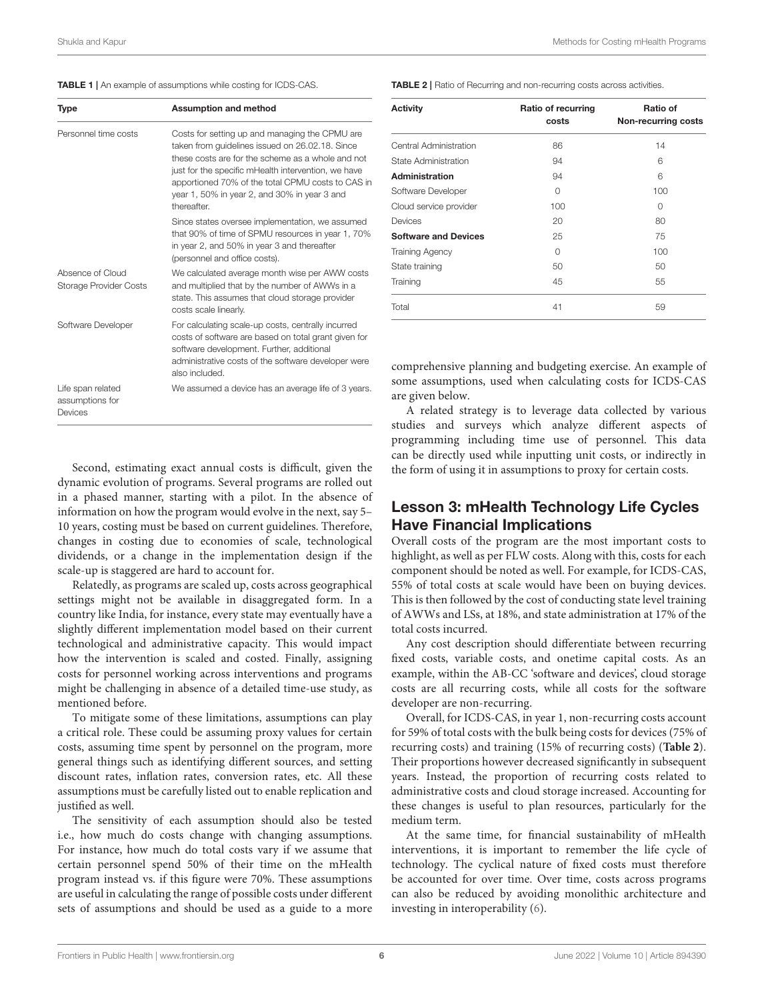<span id="page-5-0"></span>

|  |  |  | TABLE 1   An example of assumptions while costing for ICDS-CAS. |  |  |  |
|--|--|--|-----------------------------------------------------------------|--|--|--|
|--|--|--|-----------------------------------------------------------------|--|--|--|

| Type                                            | <b>Assumption and method</b>                                                                                                                                                                                                                                                                                                     |  |  |
|-------------------------------------------------|----------------------------------------------------------------------------------------------------------------------------------------------------------------------------------------------------------------------------------------------------------------------------------------------------------------------------------|--|--|
| Personnel time costs                            | Costs for setting up and managing the CPMU are<br>taken from quidelines issued on 26.02.18. Since<br>these costs are for the scheme as a whole and not<br>just for the specific mHealth intervention, we have<br>apportioned 70% of the total CPMU costs to CAS in<br>year 1, 50% in year 2, and 30% in year 3 and<br>thereafter |  |  |
|                                                 | Since states oversee implementation, we assumed<br>that 90% of time of SPMU resources in year 1, 70%<br>in year 2, and 50% in year 3 and thereafter<br>(personnel and office costs).                                                                                                                                             |  |  |
| Absence of Cloud<br>Storage Provider Costs      | We calculated average month wise per AWW costs<br>and multiplied that by the number of AWWs in a<br>state. This assumes that cloud storage provider<br>costs scale linearly.                                                                                                                                                     |  |  |
| Software Developer                              | For calculating scale-up costs, centrally incurred<br>costs of software are based on total grant given for<br>software development. Further, additional<br>administrative costs of the software developer were<br>also included                                                                                                  |  |  |
| Life span related<br>assumptions for<br>Devices | We assumed a device has an average life of 3 years.                                                                                                                                                                                                                                                                              |  |  |

Second, estimating exact annual costs is difficult, given the dynamic evolution of programs. Several programs are rolled out in a phased manner, starting with a pilot. In the absence of information on how the program would evolve in the next, say 5– 10 years, costing must be based on current guidelines. Therefore, changes in costing due to economies of scale, technological dividends, or a change in the implementation design if the scale-up is staggered are hard to account for.

Relatedly, as programs are scaled up, costs across geographical settings might not be available in disaggregated form. In a country like India, for instance, every state may eventually have a slightly different implementation model based on their current technological and administrative capacity. This would impact how the intervention is scaled and costed. Finally, assigning costs for personnel working across interventions and programs might be challenging in absence of a detailed time-use study, as mentioned before.

To mitigate some of these limitations, assumptions can play a critical role. These could be assuming proxy values for certain costs, assuming time spent by personnel on the program, more general things such as identifying different sources, and setting discount rates, inflation rates, conversion rates, etc. All these assumptions must be carefully listed out to enable replication and justified as well.

The sensitivity of each assumption should also be tested i.e., how much do costs change with changing assumptions. For instance, how much do total costs vary if we assume that certain personnel spend 50% of their time on the mHealth program instead vs. if this figure were 70%. These assumptions are useful in calculating the range of possible costs under different sets of assumptions and should be used as a guide to a more <span id="page-5-1"></span>TABLE 2 | Ratio of Recurring and non-recurring costs across activities.

| <b>Activity</b>             | Ratio of recurring<br>costs | Ratio of<br>Non-recurring costs |  |
|-----------------------------|-----------------------------|---------------------------------|--|
| Central Administration      | 86                          | 14                              |  |
| State Administration        | 94                          | 6                               |  |
| Administration              | 94                          | 6                               |  |
| Software Developer          | O                           | 100                             |  |
| Cloud service provider      | 100                         | $\Omega$                        |  |
| Devices                     | 20                          | 80                              |  |
| <b>Software and Devices</b> | 25                          | 75                              |  |
| <b>Training Agency</b>      | O                           | 100                             |  |
| State training              | 50                          | 50                              |  |
| Training                    | 45                          | 55                              |  |
| Total                       | 41                          | 59                              |  |
|                             |                             |                                 |  |

comprehensive planning and budgeting exercise. An example of some assumptions, used when calculating costs for ICDS-CAS are given below.

A related strategy is to leverage data collected by various studies and surveys which analyze different aspects of programming including time use of personnel. This data can be directly used while inputting unit costs, or indirectly in the form of using it in assumptions to proxy for certain costs.

# Lesson 3: mHealth Technology Life Cycles Have Financial Implications

Overall costs of the program are the most important costs to highlight, as well as per FLW costs. Along with this, costs for each component should be noted as well. For example, for ICDS-CAS, 55% of total costs at scale would have been on buying devices. This is then followed by the cost of conducting state level training of AWWs and LSs, at 18%, and state administration at 17% of the total costs incurred.

Any cost description should differentiate between recurring fixed costs, variable costs, and onetime capital costs. As an example, within the AB-CC 'software and devices', cloud storage costs are all recurring costs, while all costs for the software developer are non-recurring.

Overall, for ICDS-CAS, in year 1, non-recurring costs account for 59% of total costs with the bulk being costs for devices (75% of recurring costs) and training (15% of recurring costs) (**[Table 2](#page-5-1)**). Their proportions however decreased significantly in subsequent years. Instead, the proportion of recurring costs related to administrative costs and cloud storage increased. Accounting for these changes is useful to plan resources, particularly for the medium term.

At the same time, for financial sustainability of mHealth interventions, it is important to remember the life cycle of technology. The cyclical nature of fixed costs must therefore be accounted for over time. Over time, costs across programs can also be reduced by avoiding monolithic architecture and investing in interoperability [\(6\)](#page-8-5).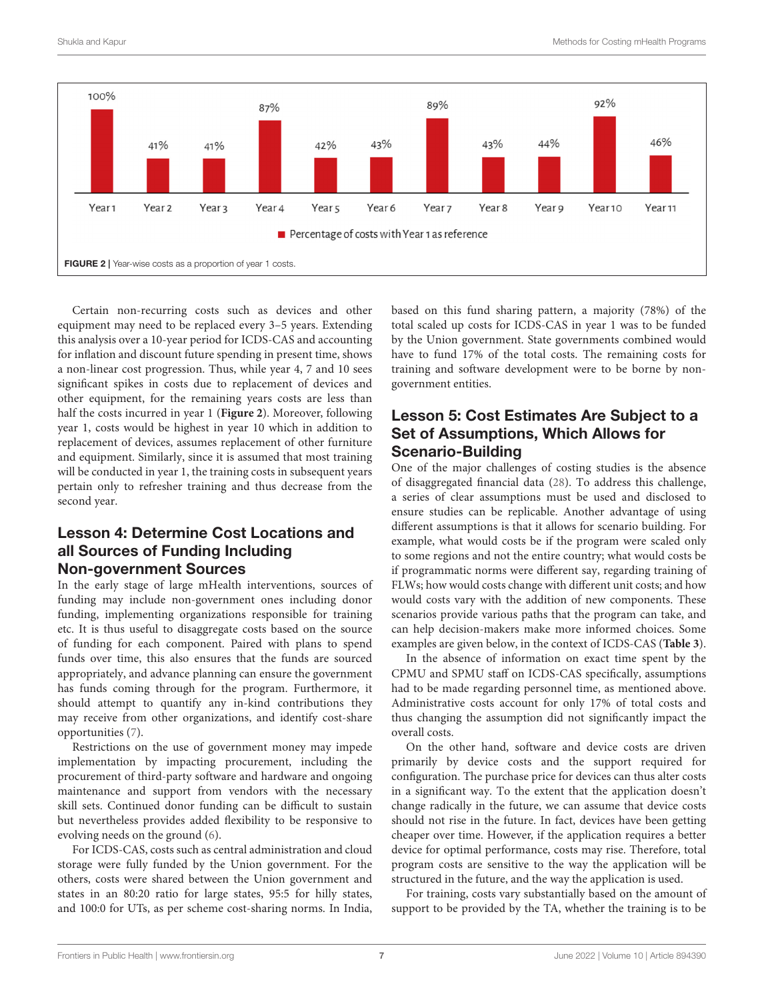

<span id="page-6-0"></span>Certain non-recurring costs such as devices and other equipment may need to be replaced every 3–5 years. Extending this analysis over a 10-year period for ICDS-CAS and accounting for inflation and discount future spending in present time, shows a non-linear cost progression. Thus, while year 4, 7 and 10 sees significant spikes in costs due to replacement of devices and other equipment, for the remaining years costs are less than half the costs incurred in year 1 (**[Figure 2](#page-6-0)**). Moreover, following year 1, costs would be highest in year 10 which in addition to replacement of devices, assumes replacement of other furniture and equipment. Similarly, since it is assumed that most training will be conducted in year 1, the training costs in subsequent years pertain only to refresher training and thus decrease from the second year.

# Lesson 4: Determine Cost Locations and all Sources of Funding Including Non-government Sources

In the early stage of large mHealth interventions, sources of funding may include non-government ones including donor funding, implementing organizations responsible for training etc. It is thus useful to disaggregate costs based on the source of funding for each component. Paired with plans to spend funds over time, this also ensures that the funds are sourced appropriately, and advance planning can ensure the government has funds coming through for the program. Furthermore, it should attempt to quantify any in-kind contributions they may receive from other organizations, and identify cost-share opportunities [\(7\)](#page-8-6).

Restrictions on the use of government money may impede implementation by impacting procurement, including the procurement of third-party software and hardware and ongoing maintenance and support from vendors with the necessary skill sets. Continued donor funding can be difficult to sustain but nevertheless provides added flexibility to be responsive to evolving needs on the ground [\(6\)](#page-8-5).

For ICDS-CAS, costs such as central administration and cloud storage were fully funded by the Union government. For the others, costs were shared between the Union government and states in an 80:20 ratio for large states, 95:5 for hilly states, and 100:0 for UTs, as per scheme cost-sharing norms. In India, based on this fund sharing pattern, a majority (78%) of the total scaled up costs for ICDS-CAS in year 1 was to be funded by the Union government. State governments combined would have to fund 17% of the total costs. The remaining costs for training and software development were to be borne by nongovernment entities.

# Lesson 5: Cost Estimates Are Subject to a Set of Assumptions, Which Allows for Scenario-Building

One of the major challenges of costing studies is the absence of disaggregated financial data [\(28\)](#page-9-17). To address this challenge, a series of clear assumptions must be used and disclosed to ensure studies can be replicable. Another advantage of using different assumptions is that it allows for scenario building. For example, what would costs be if the program were scaled only to some regions and not the entire country; what would costs be if programmatic norms were different say, regarding training of FLWs; how would costs change with different unit costs; and how would costs vary with the addition of new components. These scenarios provide various paths that the program can take, and can help decision-makers make more informed choices. Some examples are given below, in the context of ICDS-CAS (**[Table 3](#page-7-0)**).

In the absence of information on exact time spent by the CPMU and SPMU staff on ICDS-CAS specifically, assumptions had to be made regarding personnel time, as mentioned above. Administrative costs account for only 17% of total costs and thus changing the assumption did not significantly impact the overall costs.

On the other hand, software and device costs are driven primarily by device costs and the support required for configuration. The purchase price for devices can thus alter costs in a significant way. To the extent that the application doesn't change radically in the future, we can assume that device costs should not rise in the future. In fact, devices have been getting cheaper over time. However, if the application requires a better device for optimal performance, costs may rise. Therefore, total program costs are sensitive to the way the application will be structured in the future, and the way the application is used.

For training, costs vary substantially based on the amount of support to be provided by the TA, whether the training is to be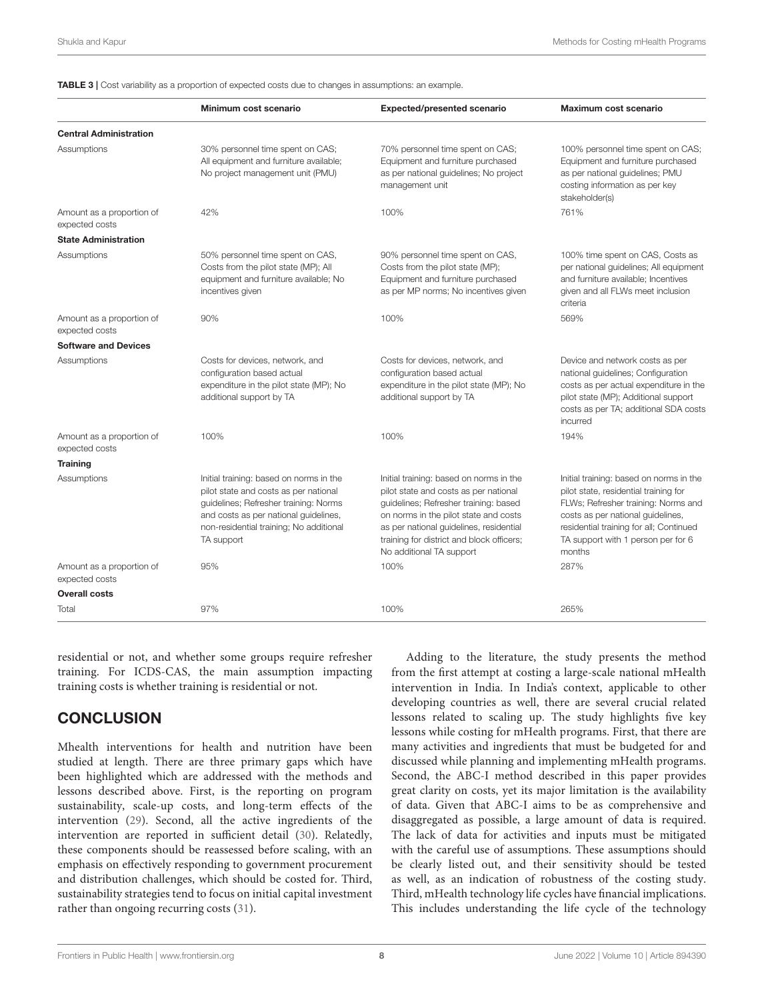<span id="page-7-0"></span>TABLE 3 | Cost variability as a proportion of expected costs due to changes in assumptions: an example.

|                                             | Minimum cost scenario                                                                                                                                                                                                       | <b>Expected/presented scenario</b>                                                                                                                                                                                                                                                     | Maximum cost scenario                                                                                                                                                                                                                                   |
|---------------------------------------------|-----------------------------------------------------------------------------------------------------------------------------------------------------------------------------------------------------------------------------|----------------------------------------------------------------------------------------------------------------------------------------------------------------------------------------------------------------------------------------------------------------------------------------|---------------------------------------------------------------------------------------------------------------------------------------------------------------------------------------------------------------------------------------------------------|
| <b>Central Administration</b>               |                                                                                                                                                                                                                             |                                                                                                                                                                                                                                                                                        |                                                                                                                                                                                                                                                         |
| Assumptions                                 | 30% personnel time spent on CAS;<br>All equipment and furniture available;<br>No project management unit (PMU)                                                                                                              | 70% personnel time spent on CAS;<br>Equipment and furniture purchased<br>as per national guidelines; No project<br>management unit                                                                                                                                                     | 100% personnel time spent on CAS;<br>Equipment and furniture purchased<br>as per national quidelines; PMU<br>costing information as per key<br>stakeholder(s)                                                                                           |
| Amount as a proportion of<br>expected costs | 42%                                                                                                                                                                                                                         | 100%                                                                                                                                                                                                                                                                                   | 761%                                                                                                                                                                                                                                                    |
| <b>State Administration</b>                 |                                                                                                                                                                                                                             |                                                                                                                                                                                                                                                                                        |                                                                                                                                                                                                                                                         |
| Assumptions                                 | 50% personnel time spent on CAS,<br>Costs from the pilot state (MP); All<br>equipment and furniture available; No<br>incentives given                                                                                       | 90% personnel time spent on CAS,<br>Costs from the pilot state (MP);<br>Equipment and furniture purchased<br>as per MP norms; No incentives given                                                                                                                                      | 100% time spent on CAS, Costs as<br>per national guidelines; All equipment<br>and furniture available; Incentives<br>given and all FLWs meet inclusion<br>criteria                                                                                      |
| Amount as a proportion of<br>expected costs | 90%                                                                                                                                                                                                                         | 100%                                                                                                                                                                                                                                                                                   | 569%                                                                                                                                                                                                                                                    |
| <b>Software and Devices</b>                 |                                                                                                                                                                                                                             |                                                                                                                                                                                                                                                                                        |                                                                                                                                                                                                                                                         |
| Assumptions                                 | Costs for devices, network, and<br>configuration based actual<br>expenditure in the pilot state (MP); No<br>additional support by TA                                                                                        | Costs for devices, network, and<br>configuration based actual<br>expenditure in the pilot state (MP); No<br>additional support by TA                                                                                                                                                   | Device and network costs as per<br>national quidelines; Configuration<br>costs as per actual expenditure in the<br>pilot state (MP); Additional support<br>costs as per TA; additional SDA costs<br>incurred                                            |
| Amount as a proportion of<br>expected costs | 100%                                                                                                                                                                                                                        | 100%                                                                                                                                                                                                                                                                                   | 194%                                                                                                                                                                                                                                                    |
| <b>Training</b>                             |                                                                                                                                                                                                                             |                                                                                                                                                                                                                                                                                        |                                                                                                                                                                                                                                                         |
| Assumptions                                 | Initial training: based on norms in the<br>pilot state and costs as per national<br>guidelines; Refresher training: Norms<br>and costs as per national guidelines,<br>non-residential training; No additional<br>TA support | Initial training: based on norms in the<br>pilot state and costs as per national<br>guidelines; Refresher training: based<br>on norms in the pilot state and costs<br>as per national guidelines, residential<br>training for district and block officers;<br>No additional TA support | Initial training: based on norms in the<br>pilot state, residential training for<br>FLWs; Refresher training: Norms and<br>costs as per national quidelines,<br>residential training for all; Continued<br>TA support with 1 person per for 6<br>months |
| Amount as a proportion of<br>expected costs | 95%                                                                                                                                                                                                                         | 100%                                                                                                                                                                                                                                                                                   | 287%                                                                                                                                                                                                                                                    |
| <b>Overall costs</b>                        |                                                                                                                                                                                                                             |                                                                                                                                                                                                                                                                                        |                                                                                                                                                                                                                                                         |
| Total                                       | 97%                                                                                                                                                                                                                         | 100%                                                                                                                                                                                                                                                                                   | 265%                                                                                                                                                                                                                                                    |

residential or not, and whether some groups require refresher training. For ICDS-CAS, the main assumption impacting training costs is whether training is residential or not.

# **CONCLUSION**

Mhealth interventions for health and nutrition have been studied at length. There are three primary gaps which have been highlighted which are addressed with the methods and lessons described above. First, is the reporting on program sustainability, scale-up costs, and long-term effects of the intervention [\(29\)](#page-9-18). Second, all the active ingredients of the intervention are reported in sufficient detail [\(30\)](#page-9-19). Relatedly, these components should be reassessed before scaling, with an emphasis on effectively responding to government procurement and distribution challenges, which should be costed for. Third, sustainability strategies tend to focus on initial capital investment rather than ongoing recurring costs [\(31\)](#page-9-20).

Adding to the literature, the study presents the method from the first attempt at costing a large-scale national mHealth intervention in India. In India's context, applicable to other developing countries as well, there are several crucial related lessons related to scaling up. The study highlights five key lessons while costing for mHealth programs. First, that there are many activities and ingredients that must be budgeted for and discussed while planning and implementing mHealth programs. Second, the ABC-I method described in this paper provides great clarity on costs, yet its major limitation is the availability of data. Given that ABC-I aims to be as comprehensive and disaggregated as possible, a large amount of data is required. The lack of data for activities and inputs must be mitigated with the careful use of assumptions. These assumptions should be clearly listed out, and their sensitivity should be tested as well, as an indication of robustness of the costing study. Third, mHealth technology life cycles have financial implications. This includes understanding the life cycle of the technology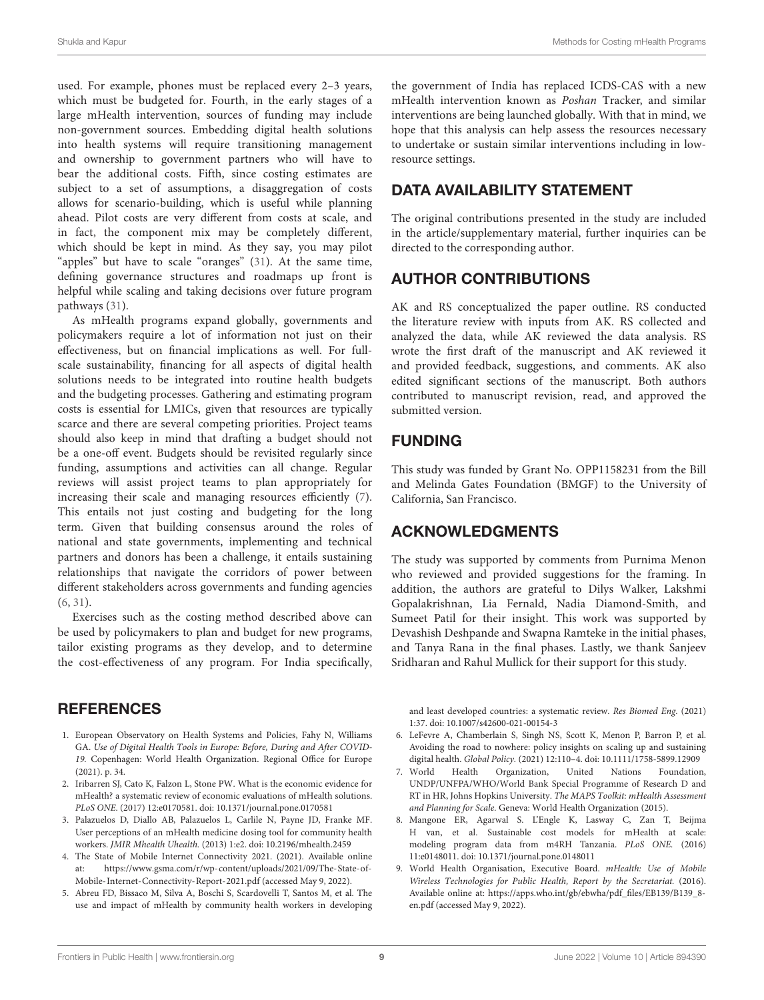used. For example, phones must be replaced every 2–3 years, which must be budgeted for. Fourth, in the early stages of a large mHealth intervention, sources of funding may include non-government sources. Embedding digital health solutions into health systems will require transitioning management and ownership to government partners who will have to bear the additional costs. Fifth, since costing estimates are subject to a set of assumptions, a disaggregation of costs allows for scenario-building, which is useful while planning ahead. Pilot costs are very different from costs at scale, and in fact, the component mix may be completely different, which should be kept in mind. As they say, you may pilot "apples" but have to scale "oranges" [\(31\)](#page-9-20). At the same time, defining governance structures and roadmaps up front is helpful while scaling and taking decisions over future program pathways [\(31\)](#page-9-20).

As mHealth programs expand globally, governments and policymakers require a lot of information not just on their effectiveness, but on financial implications as well. For fullscale sustainability, financing for all aspects of digital health solutions needs to be integrated into routine health budgets and the budgeting processes. Gathering and estimating program costs is essential for LMICs, given that resources are typically scarce and there are several competing priorities. Project teams should also keep in mind that drafting a budget should not be a one-off event. Budgets should be revisited regularly since funding, assumptions and activities can all change. Regular reviews will assist project teams to plan appropriately for increasing their scale and managing resources efficiently [\(7\)](#page-8-6). This entails not just costing and budgeting for the long term. Given that building consensus around the roles of national and state governments, implementing and technical partners and donors has been a challenge, it entails sustaining relationships that navigate the corridors of power between different stakeholders across governments and funding agencies [\(6,](#page-8-5) [31\)](#page-9-20).

Exercises such as the costing method described above can be used by policymakers to plan and budget for new programs, tailor existing programs as they develop, and to determine the cost-effectiveness of any program. For India specifically,

# **REFERENCES**

- <span id="page-8-0"></span>1. European Observatory on Health Systems and Policies, Fahy N, Williams GA. Use of Digital Health Tools in Europe: Before, During and After COVID-19. Copenhagen: World Health Organization. Regional Office for Europe (2021). p. 34.
- <span id="page-8-1"></span>2. Iribarren SJ, Cato K, Falzon L, Stone PW. What is the economic evidence for mHealth? a systematic review of economic evaluations of mHealth solutions. PLoS ONE. (2017) 12:e0170581. doi: [10.1371/journal.pone.0170581](https://doi.org/10.1371/journal.pone.0170581)
- <span id="page-8-2"></span>3. Palazuelos D, Diallo AB, Palazuelos L, Carlile N, Payne JD, Franke MF. User perceptions of an mHealth medicine dosing tool for community health workers. JMIR Mhealth Uhealth. (2013) 1:e2. doi: [10.2196/mhealth.2459](https://doi.org/10.2196/mhealth.2459)
- <span id="page-8-3"></span>4. The State of Mobile Internet Connectivity 2021. (2021). Available online at: [https://www.gsma.com/r/wp-content/uploads/2021/09/The-State-of-](https://www.gsma.com/r/wp-content/uploads/2021/09/The-State-of-Mobile-Internet-Connectivity-Report-2021.pdf)[Mobile-Internet-Connectivity-Report-2021.pdf](https://www.gsma.com/r/wp-content/uploads/2021/09/The-State-of-Mobile-Internet-Connectivity-Report-2021.pdf) (accessed May 9, 2022).
- <span id="page-8-4"></span>5. Abreu FD, Bissaco M, Silva A, Boschi S, Scardovelli T, Santos M, et al. The use and impact of mHealth by community health workers in developing

the government of India has replaced ICDS-CAS with a new mHealth intervention known as Poshan Tracker, and similar interventions are being launched globally. With that in mind, we hope that this analysis can help assess the resources necessary to undertake or sustain similar interventions including in lowresource settings.

# DATA AVAILABILITY STATEMENT

The original contributions presented in the study are included in the article/supplementary material, further inquiries can be directed to the corresponding author.

# AUTHOR CONTRIBUTIONS

AK and RS conceptualized the paper outline. RS conducted the literature review with inputs from AK. RS collected and analyzed the data, while AK reviewed the data analysis. RS wrote the first draft of the manuscript and AK reviewed it and provided feedback, suggestions, and comments. AK also edited significant sections of the manuscript. Both authors contributed to manuscript revision, read, and approved the submitted version.

# FUNDING

This study was funded by Grant No. OPP1158231 from the Bill and Melinda Gates Foundation (BMGF) to the University of California, San Francisco.

# ACKNOWLEDGMENTS

The study was supported by comments from Purnima Menon who reviewed and provided suggestions for the framing. In addition, the authors are grateful to Dilys Walker, Lakshmi Gopalakrishnan, Lia Fernald, Nadia Diamond-Smith, and Sumeet Patil for their insight. This work was supported by Devashish Deshpande and Swapna Ramteke in the initial phases, and Tanya Rana in the final phases. Lastly, we thank Sanjeev Sridharan and Rahul Mullick for their support for this study.

and least developed countries: a systematic review. Res Biomed Eng. (2021) 1:37. doi: [10.1007/s42600-021-00154-3](https://doi.org/10.1007/s42600-021-00154-3)

- <span id="page-8-5"></span>6. LeFevre A, Chamberlain S, Singh NS, Scott K, Menon P, Barron P, et al. Avoiding the road to nowhere: policy insights on scaling up and sustaining digital health. Global Policy. (2021) 12:110–4. doi: [10.1111/1758-5899.12909](https://doi.org/10.1111/1758-5899.12909)
- <span id="page-8-6"></span>7. World Health Organization, United Nations Foundation, UNDP/UNFPA/WHO/World Bank Special Programme of Research D and RT in HR, Johns Hopkins University. The MAPS Toolkit: mHealth Assessment and Planning for Scale. Geneva: World Health Organization (2015).
- <span id="page-8-7"></span>8. Mangone ER, Agarwal S. L'Engle K, Lasway C, Zan T, Beijma H van, et al. Sustainable cost models for mHealth at scale: modeling program data from m4RH Tanzania. PLoS ONE. (2016) 11:e0148011. doi: [10.1371/journal.pone.0148011](https://doi.org/10.1371/journal.pone.0148011)
- <span id="page-8-8"></span>9. World Health Organisation, Executive Board. mHealth: Use of Mobile Wireless Technologies for Public Health, Report by the Secretariat. (2016). Available online at: [https://apps.who.int/gb/ebwha/pdf\\_files/EB139/B139\\_8](https://apps.who.int/gb/ebwha/pdf_files/EB139/B139_8-en.pdf) [en.pdf](https://apps.who.int/gb/ebwha/pdf_files/EB139/B139_8-en.pdf) (accessed May 9, 2022).